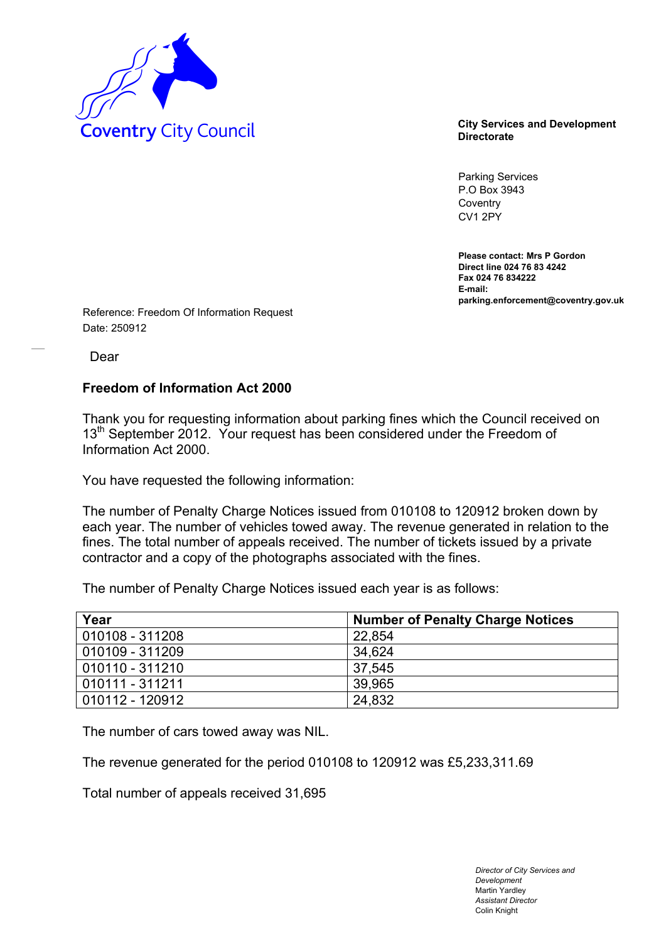

**Directorate** 

Parking Services P.O Box 3943 **Coventry** CV1 2PY

**Please contact: Mrs P Gordon Direct line 024 76 83 4242 Fax 024 76 834222 E-mail: parking.enforcement@coventry.gov.uk** 

Reference: Freedom Of Information Request Date: 250912

Dear

## **Freedom of Information Act 2000**

Thank you for requesting information about parking fines which the Council received on 13<sup>th</sup> September 2012. Your request has been considered under the Freedom of Information Act 2000.

You have requested the following information:

The number of Penalty Charge Notices issued from 010108 to 120912 broken down by each year. The number of vehicles towed away. The revenue generated in relation to the fines. The total number of appeals received. The number of tickets issued by a private contractor and a copy of the photographs associated with the fines.

The number of Penalty Charge Notices issued each year is as follows:

| Year            | <b>Number of Penalty Charge Notices</b> |
|-----------------|-----------------------------------------|
| 010108 - 311208 | 22.854                                  |
| 010109 - 311209 | 34.624                                  |
| 010110 - 311210 | 37.545                                  |
| 010111 - 311211 | 39.965                                  |
| 010112 - 120912 | 24,832                                  |

The number of cars towed away was NIL.

The revenue generated for the period 010108 to 120912 was £5,233,311.69

Total number of appeals received 31,695